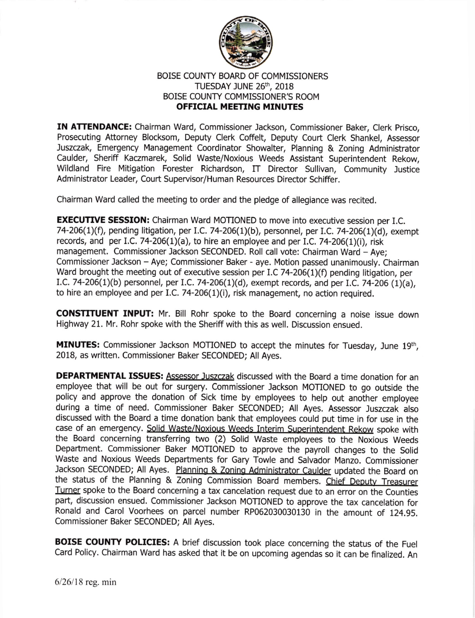

## BOISE COUNTY BOARD OF COMMISSIONERS TUESDAY JUNE 26th, 2018 BOISE COUNTY COMMISSIONER'S ROOM OFFICIAL MEETING MINUTES

IN ATTENDANCE: Chairman Ward, Commissioner Jackson, Commissioner Baker, Clerk Prisco, Prosecuting Attorney Blocksom, Deputy Clerk Coffelt, Deputy Court Clerk Shankel, Assessor Juszczak, Emergency Management Coordinator Showalter, Planning & Zoning Administrator Caulder, Sheriff Kaczmarek, Solid Waste/Noxious Weeds Assistant Superintendent Rekow, Wildland Fire Mitigation Forester Richardson, IT Director Sullivan, Community Justice Administrator Leader, Court Supervisor/Human Resources Director Schiffer.

Chairman Ward called the meeting to order and the pledge of allegiance was recited.

**EXECUTIVE SESSION:** Chairman Ward MOTIONED to move into executive session per I.C. 74-206(1)(f), pending litigation, per I.C. 74-206(1)(b), personnel, per I.C. 74-206(1)(d), exempt records, and per I.C. 74-206(1)(a), to hire an employee and per I.C. 74-206(1)(i), risk management. Commissioner Jackson SECONDED. Roll call vote: Chairman Ward - Aye; Commissioner Jackson - Aye; Commissioner Baker - aye. Motion passed unanimously. Chairman Ward brought the meeting out of executive session per I.C 74-206(1)(f) pending litigation, per I.C. 74-206(1)(b) personnel, per I.C. 74-206(1)(d), exempt records, and per I.C. 74-206 (1)(a), to hire an employee and per I.C. 74-206 $(1)(i)$ , risk management, no action required.

CONSTITUENT INPUT: Mr. Bill Rohr spoke to the Board concerning a noise issue down Highway 21. Mr. Rohr spoke with the Sheriff with this as well. Discussion ensued.

MINUTES: Commissioner Jackson MOTIONED to accept the minutes for Tuesday, June 19th, 2018, as written. Commissioner Baker SECONDED; All Ayes.

**DEPARTMENTAL ISSUES:** Assessor Juszczak discussed with the Board a time donation for an employee that will be out for surgery. Commissioner Jackson MOTIONED to go outside the policy and approve the donation of Sick time by employees to help out another employee during a time of need. commissioner Baker SECONDED; All Ayes. Assessor Juszczak also discussed with the Board a time donation bank that employees could put time in for use in the case of an emergency. Solid Waste/Noxious Weeds Interim Superintendent Rekow spoke with the Board concerning transferring two (2) solid waste employees to the Noxious weeds Department. commissioner Baker MoTIoNED to approve the payroll changes to the solid waste and Noxious weeds Departments for Gary Towle and salvador Manzo. commissioner Jackson SECONDED; All Ayes. Planning & Zoning Administrator Caulder updated the Board on the status of the Planning & Zoning Commission Board members. Chief Deputy Treasurer Turner spoke to the Board concerning a tax cancelation request due to an error on the Counties part, discussion ensued. Commissioner Jackson MOTIONED to approve the tax cancelation for Ronald and carol voorhees on parcel number RP062030030130 in the amount of 124.95. Commissioner Baker SECONDED; All Ayes.

BOISE COUNTY POLICIES: A brief discussion took place concerning the status of the Fuel card Policy. chairman ward has asked that it be on upcoming agendas so it can be finalized. An